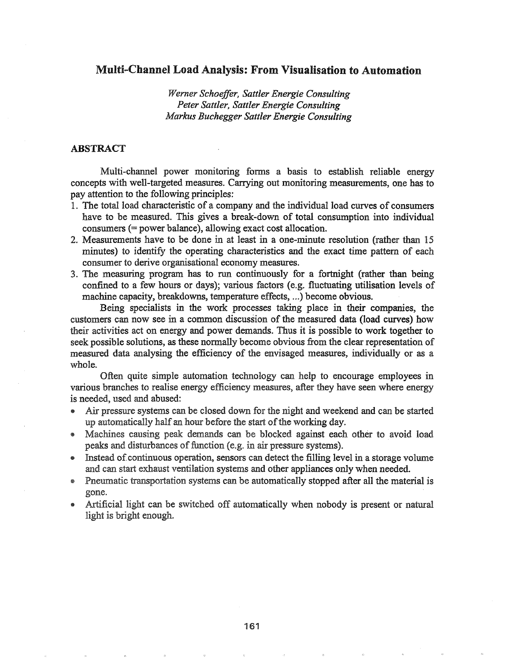# Multi-Channel Load Analysis: From Visualisation to Automation

*Werner Schaeffer, Sattler Energie Consulting Peter Sattler, Sattler Energie Consulting Markus Buchegger Sattler Energie Consulting*

### ABSTRACT

Multi-channel power monitoring forms a basis to establish reliable energy concepts with well-targeted measures. Carrying out monitoring measurements, one has to pay attention to the following principles:

- 1. The total load characteristic of a company and the individual load curves of consumers have to be measured. This gives a break-down of total consumption into individual  $consumer \, (= power \, balance), allowing \, exact \, cost \, allocation.$
- 2.. Measurements have to be done in at least in a one-minute resolution (rather than 15 minutes) to identify the operating characteristics and the exact time pattern of each consumer to derive organisational economy measures.
- 3. The measuring program has to run continuously for a fortnight (rather than being confined to a few hours or days); various factors (e.g. fluctuating utilisation levels of machine capacity, breakdowns, temperature effects, ...) become obvious.

Being specialists in the work processes taking place in their companies, the customers can now see in a common discussion of the measured data (load curves) how activities act on energy and power demands. Thus it is possible to work together to seek possible solutions, as these normally become obvious from the clear representation of measured data analysing the efficiency of the envisaged measures, individually or as a whole.

Often quite simple automation technology can help to encourage employees in various branches to realise energy efficiency measures, after they have seen where energy is needed, used and abused:

- Air pressure systems can be closed down for the night and weekend and can be started up automatically half an hour before the start of the working day.
- Machines causing peak demands can be blocked against each other to avoid load peaks and disturbances of function (e.g. in air pressure systems).
- Instead of continuous operation, sensors can detect the filling level in a storage volume and can start exhaust ventilation systems and other appliances only when needed.
- Pneumatic transportation systems can be automatically stopped after all the material is gone.
- Artificial light can be switched off automatically when nobody is present or natural light is bright enough.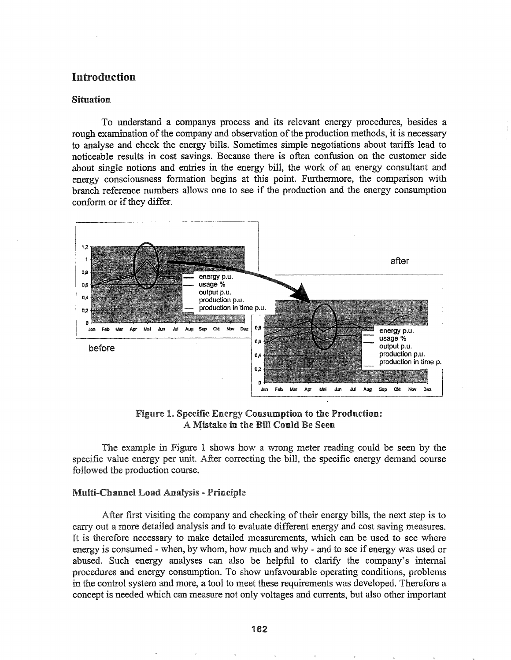# Introduction

### Situation

To understand a companys process and its relevant energy procedures, besides a rough examination of the company and observation of the production methods, it is necessary to analyse and check the energy bills. Sometimes simple negotiations about tariffs lead to noticeable results in cost savings. Because there is often confusion on the customer side about single notions and entries in the energy bill, the work of an energy consultant and energy consciousness fonnation begins at this point. Furthennore, the comparison with branch reference numbers allows one to see if the production and the energy consumption conform or if they differ.



Figure 1. Specific Energy Consumption to the Production: A Mistake in the Bill Could Be Seen

specific value energy per unit. After correcting the bill, the specific energy demand course followed the production course. The example in Figure 1 shows how a wrong meter reading could be seen by the

### Multi-Channel Load Analysis - Principle

After first visiting the company and checking of their energy bills, the next step is to carry out a more detailed analysis and to evaluate different energy and cost saving measures. It is therefore necessary to make detailed measurements, which can be used to see where energy is consumed - when, by whom, how much and why - and to see if energy was used or abused. Such energy analyses can also be helpful to clarify the company's internal procedures and energy consumption. To show unfavourable operating conditions, problems in the control system and more, a tool to meet these requirements was developed. Therefore a concept is needed which can measure not only voltages and currents, but also other important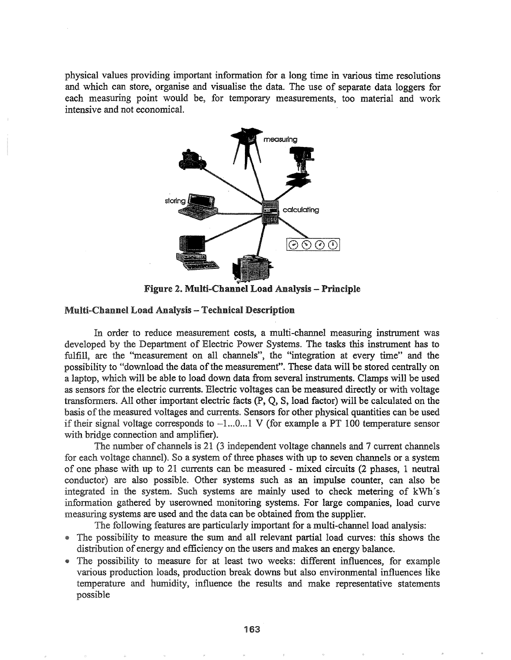physical values providing important information for a long time in various time resolutions and which can store, organise and visualise the data. The use of separate data loggers for each measuring point would be, for temporary measurements, too material and work intensive and not economical.



Figure 2. Multi-Channel Load Analysis - Principle

### Multi-Channel Load Analysis - Technical Description

In order to reduce measurement costs, a multi-channel measuring instrument was developed by the Department of Electric Power Systems. The tasks this instrument has to fulfill, are the "measurement on all channels", the "integration at every time" and the possibility to "download the data of the measurement". These data will be stored centrally on a laptop, which will be able to load down data from several instruments. Clamps will be used as sensors for the electric currents. Electric voltages can be measured directly or with voltage transformers. All other important electric facts  $(P, Q, S)$ , load factor) will be calculated on the basis of the measured voltages and currents. Sensors for other physical quantities can be used if their signal voltage corresponds to  $-1...0...1$  V (for example a PT 100 temperature sensor with bridge connection and amplifier).

The number of channels is 21 (3 independent voltage channels and 7 current channels for each voltage channel). So a system of three phases with up to seven channels or a system of one phase with up to 21 currents can be measured - mixed circuits (2 phases, 1 neutral conductor) are also possible.. Other systems such as an impulse counter, can also be integrated in the system. Such systems are mainly used to check metering of kWh's information gathered by userowned monitoring systems. For large companies, load curve measuring systems are used and the data can be obtained from the supplier.

The following features are particularly important for a multi-channel load analysis:

- @ possibility to measure the sum and all relevant partial load curves: this shows the distribution of energy and efficiency on the users and makes an energy balance.
- The possibility to measure for at least two weeks: different influences, for example various production loads, production break downs but also environmental influences like temperature and humidity, influence the results and make representative statements possible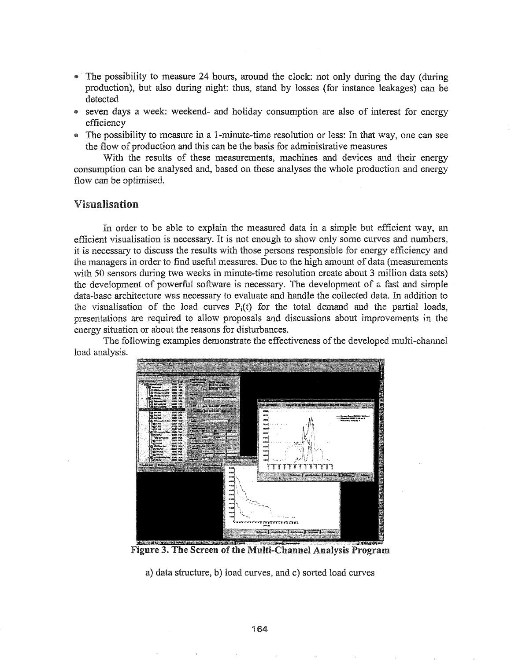- The possibility to measure 24 hours, around the clock: not only during the day (during production), but also during night: thus, stand by losses (for instance leakages) can be detected
- seven days a week: weekend- and holiday consumption are also of interest for energy efficiency
- The possibility to measure in a l-minute-time resolution or less: In that way, one can see the flow of production and this can be the basis for administrative measures

With the results of these measurements, machines and devices and their energy consumption can be analysed and, based on these analyses the whole production and energy flow can be optimised.

# Visualisation

In order to be able to explain the measured data in a simple but efficient way, an efficient visualisation is necessary. It is not enough to show only some curves and numbers, it is necessary to discuss the results with those persons responsible for energy efficiency and the managers in order to find useful measures. Due to the high amount of data (measurements with 50 sensors during two weeks in minute-time resolution create about 3 million data sets) the development of powerful software is necessary. The development of a fast and simple data-base architecture was necessary to evaluate and handle the collected data. In addition to the visualisation of the load curves  $P_i(t)$  for the total demand and the partial loads, presentations are required to allow proposals and discussions about improvements in the energy situation or about the reasons for disturbances.

The following examples demonstrate the effectiveness of the developed multi-channel load analysis.



**Figure 3. The Screen of the Multi-Channel Analysis Program** 

a) data structure, b) load curves, and c) sorted load curves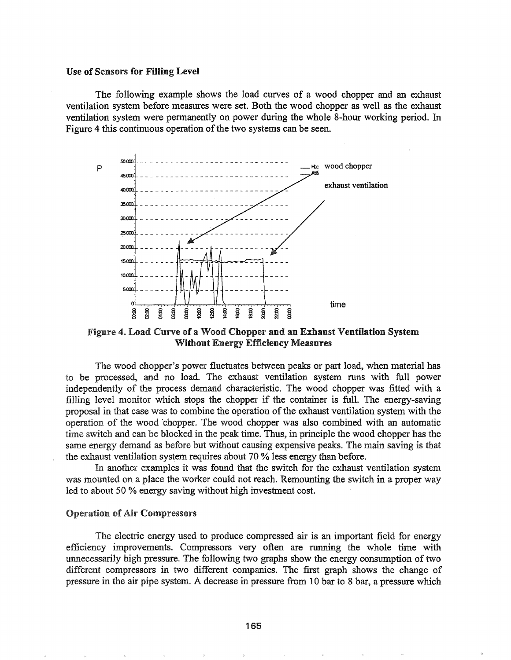#### Use of Sensors for Filling Level

The following example shows the load curves of a wood chopper and an exhaust ventilation system before measures were set. Both the wood chopper as well as the exhaust ventilation system were pennanently on power during the whole 8-hour working period. In Figure 4 this continuous operation of the two systems can be seen.



Figure 4. Load Curve of a Wood Chopper and an Exhaust Ventilation System Without Energy Efficiency Measures

The wood chopper's power fluctuates between peaks or part load, when material has to be processed, and no load. The exhaust ventilation system runs with full power independently of the process demand characteristic. The wood chopper was fitted with a filling level monitor which stops the chopper if the container is full. The energy-saving proposal in that case was to combine the operation of the exhaust ventilation system with the operation of the wood chopper. The wood chopper was also combined with an automatic time switch and can be blocked in the peak time. Thus, in principle the wood chopper has the same energy demand as before but without causing expensive peaks. The main saving is that the exhaust ventilation system requires about 70 % less energy than before.

another examples it was found that the switch for the exhaust ventilation system was mounted on a place the worker could not reach. Remounting the switch in a proper way led to about 50  $%$  energy saving without high investment cost.

### **Operation of Air Compressors**

The electric energy used to produce compressed air is an important field for energy efficiency improvements. Compressors very often are running the whole time with unnecessarily high pressure. The following two graphs show the energy consumption of two different compressors in two different companies. The first graph shows the change of pressure in the air pipe system. A decrease in pressure from 10 bar to 8 bar, a pressure which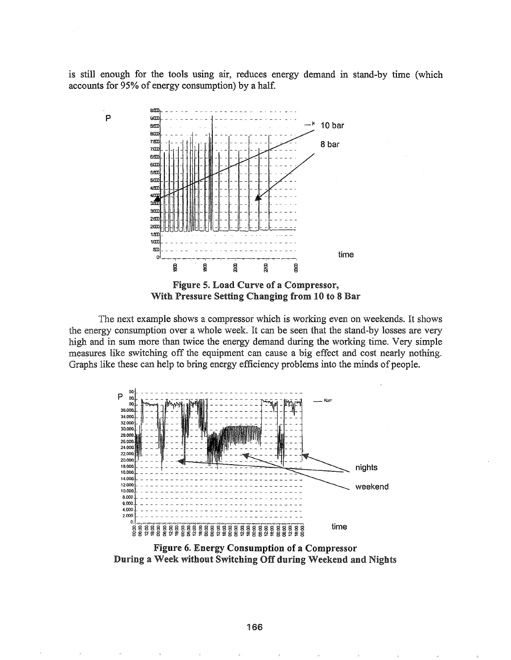is still enough for the tools using air, reduces energy demand in stand-by time (which accounts for 95% of energy consumption) by a half.



p



The next example shows a compressor which is working even on weekends. It shows the energy consumption over a whole week. It can be seen that the stand-by losses are very high and in sum more than twice the energy demand during the working time. Very simple measures like switching off the equipment can cause a big effect and cost nearly nothing. Graphs like these can help to bring energy efficiency problems into the minds of people.



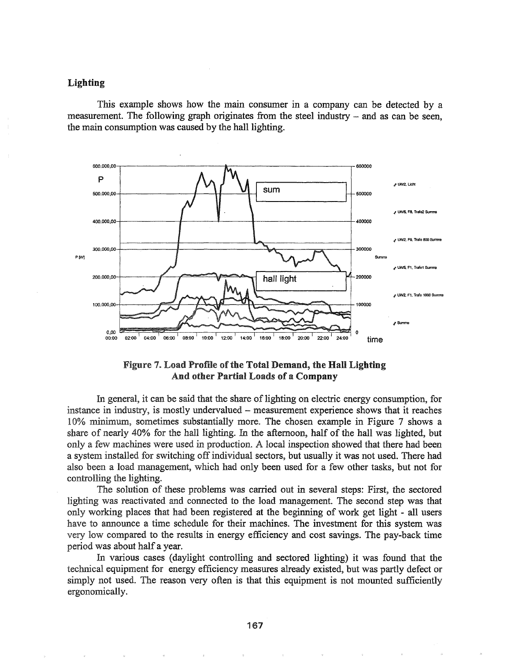# Lighting

This example shows how the main consumer in a company can be detected by a measurement. The following graph originates from the steel industry  $-$  and as can be seen. the main consumption was caused by the hall lighting.





In general, it can be said that the share of lighting on electric energy consumption, for instance in industry, is mostly undervalued – measurement experience shows that it reaches 10% minimum, sometimes substantially more. The chosen example in Figure 7 shows a share of nearly  $40\%$  for the hall lighting. In the afternoon, half of the hall was lighted, but only a few machines were used in production. A local inspection showed that there had been a system installed for switching off individual sectors, but usually it was not used. There had also been a load management, which had only been used for a few other tasks, but not for controlling the lighting.

The solution of these problems was carried out in several steps: First, the sectored lighting was reactivated and connected to the load management. The second step was that only working places that had been registered at the beginning of work get light - all users have to announce a time schedule for their machines. The investment for this system was very low compared to the results in energy efficiency and cost savings. The pay-back time period was about half a year.

In various cases (daylight controlling and sectored lighting) it was found that the technical equipment for energy efficiency measures already existed, but was partly defect or simply not used. The reason very often is that this equipment is not mounted sufficiently ergonomically.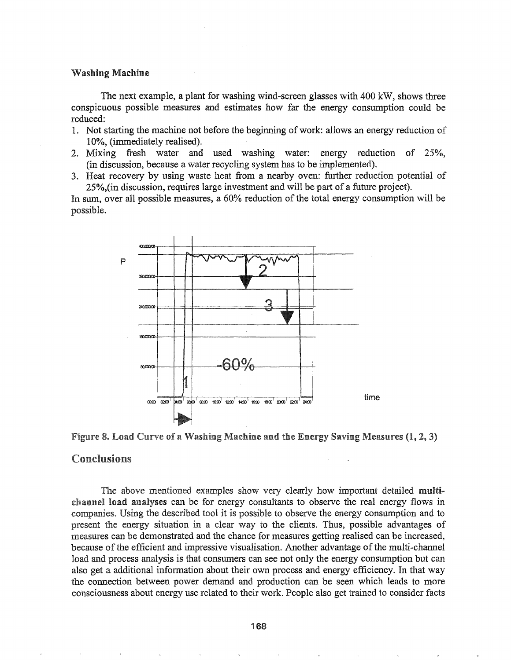### Washing Machine

The next example, a plant for washing wind-screen glasses with 400 kW, shows three conspicuous possible measures and estimates how far the energy consumption could be reduced:

- 1. Not starting the machine not before the beginning ofwork: allows an energy reduction of 10%, (immediately realised).
- 2. Mixing fresh water and used washing water: energy reduction of 25%, (in discussion, because a water recycling system has to be implemented).
- 3. Heat recovery by using waste heat from a nearby oven: further reduction potential of 25%,(in discussion, requires large investment and will be part of a future project).

In sum, over all possible measures, a  $60\%$  reduction of the total energy consumption will be possible.





# Conclusions

The above mentioned examples show very clearly how important detailed multichannel load analyses can be for energy consultants to observe the real energy flows in companies. Using the described tool it is possible to observe the energy consumption and to present the energy situation in a clear way to the clients. Thus, possible advantages of measures can be demonstrated and the chance for measures getting realised can be increased, because of the efficient and impressive visualisation. Another advantage of the multi-channel load and process analysis is that consumers can see not only the energy consumption but can also get a additional information about their own process and energy efficiency. In that way the connection between power demand and production can be seen which leads to more consciousness about energy use related to their work. People also get trained to consider facts